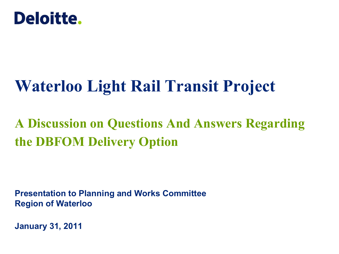

# **Waterloo Light Rail Transit Project**

# **A Discussion on Questions And Answers Regarding the DBFOM Delivery Option**

**Presentation to Planning and Works Committee Region of Waterloo**

**January 31, 2011**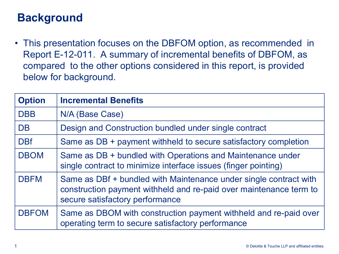## **Background**

• This presentation focuses on the DBFOM option, as recommended in Report E-12-011. A summary of incremental benefits of DBFOM, as compared to the other options considered in this report, is provided below for background.

| <b>Option</b> | <b>Incremental Benefits</b>                                                                                                                                                |
|---------------|----------------------------------------------------------------------------------------------------------------------------------------------------------------------------|
| <b>DBB</b>    | N/A (Base Case)                                                                                                                                                            |
| <b>DB</b>     | Design and Construction bundled under single contract                                                                                                                      |
| <b>DBf</b>    | Same as DB + payment withheld to secure satisfactory completion                                                                                                            |
| <b>DBOM</b>   | Same as DB + bundled with Operations and Maintenance under<br>single contract to minimize interface issues (finger pointing)                                               |
| <b>DBFM</b>   | Same as DBf + bundled with Maintenance under single contract with<br>construction payment withheld and re-paid over maintenance term to<br>secure satisfactory performance |
| <b>DBFOM</b>  | Same as DBOM with construction payment withheld and re-paid over<br>operating term to secure satisfactory performance                                                      |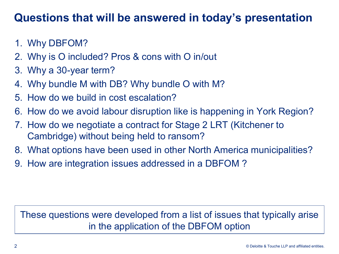#### **Questions that will be answered in today's presentation**

- 1. Why DBFOM?
- 2. Why is O included? Pros & cons with O in/out
- 3. Why a 30-year term?
- 4. Why bundle M with DB? Why bundle O with M?
- 5. How do we build in cost escalation?
- 6. How do we avoid labour disruption like is happening in York Region?
- 7. How do we negotiate a contract for Stage 2 LRT (Kitchener to Cambridge) without being held to ransom?
- 8. What options have been used in other North America municipalities?
- 9. How are integration issues addressed in a DBFOM ?

#### These questions were developed from a list of issues that typically arise in the application of the DBFOM option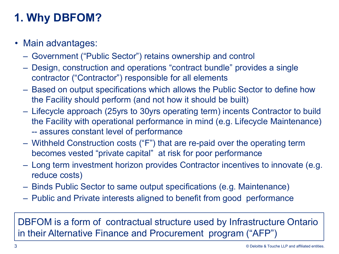# **1. Why DBFOM?**

- Main advantages:
	- Government ("Public Sector") retains ownership and control
	- Design, construction and operations "contract bundle" provides a single contractor ("Contractor") responsible for all elements
	- Based on output specifications which allows the Public Sector to define how the Facility should perform (and not how it should be built)
	- Lifecycle approach (25yrs to 30yrs operating term) incents Contractor to build the Facility with operational performance in mind (e.g. Lifecycle Maintenance) -- assures constant level of performance
	- Withheld Construction costs ("F") that are re-paid over the operating term becomes vested "private capital" at risk for poor performance
	- Long term investment horizon provides Contractor incentives to innovate (e.g. reduce costs)
	- Binds Public Sector to same output specifications (e.g. Maintenance)
	- Public and Private interests aligned to benefit from good performance

DBFOM is a form of contractual structure used by Infrastructure Ontario in their Alternative Finance and Procurement program ("AFP")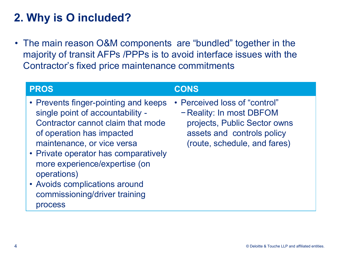# **2. Why is O included?**

• The main reason O&M components are "bundled" together in the majority of transit AFPs /PPPs is to avoid interface issues with the Contractor's fixed price maintenance commitments

| <b>PROS</b>                                                                                                                                                                                                                                                                                                                                   | <b>CONS</b>                                                                                                                                             |
|-----------------------------------------------------------------------------------------------------------------------------------------------------------------------------------------------------------------------------------------------------------------------------------------------------------------------------------------------|---------------------------------------------------------------------------------------------------------------------------------------------------------|
| • Prevents finger-pointing and keeps<br>single point of accountability -<br>Contractor cannot claim that mode<br>of operation has impacted<br>maintenance, or vice versa<br>• Private operator has comparatively<br>more experience/expertise (on<br>operations)<br>• Avoids complications around<br>commissioning/driver training<br>process | • Perceived loss of "control"<br>- Reality: In most DBFOM<br>projects, Public Sector owns<br>assets and controls policy<br>(route, schedule, and fares) |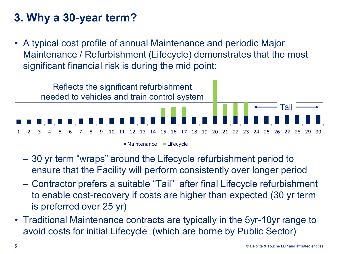# **3. Why a 30-year term?**

• A typical cost profile of annual Maintenance and periodic Major Maintenance / Refurbishment (Lifecycle) demonstrates that the most significant financial risk is during the mid point:



- 30 yr term "wraps" around the Lifecycle refurbishment period to ensure that the Facility will perform consistently over longer period
- Contractor prefers a suitable "Tail" after final Lifecycle refurbishment to enable cost-recovery if costs are higher than expected (30 yr term is preferred over 25 yr)
- Traditional Maintenance contracts are typically in the 5yr-10yr range to avoid costs for initial Lifecycle (which are borne by Public Sector)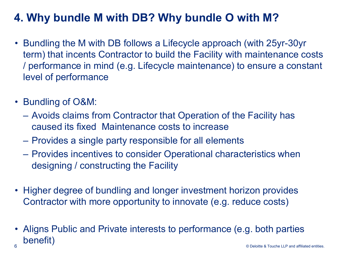# **4. Why bundle M with DB? Why bundle O with M?**

- Bundling the M with DB follows a Lifecycle approach (with 25yr-30yr term) that incents Contractor to build the Facility with maintenance costs / performance in mind (e.g. Lifecycle maintenance) to ensure a constant level of performance
- Bundling of O&M:
	- Avoids claims from Contractor that Operation of the Facility has caused its fixed Maintenance costs to increase
	- Provides a single party responsible for all elements
	- Provides incentives to consider Operational characteristics when designing / constructing the Facility
- Higher degree of bundling and longer investment horizon provides Contractor with more opportunity to innovate (e.g. reduce costs)
- © Deloitte & Touche LLP and affiliated entities. • Aligns Public and Private interests to performance (e.g. both parties benefit) 6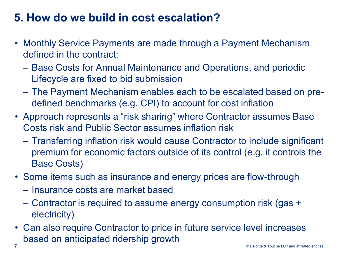## **5. How do we build in cost escalation?**

- Monthly Service Payments are made through a Payment Mechanism defined in the contract:
	- Base Costs for Annual Maintenance and Operations, and periodic Lifecycle are fixed to bid submission
	- The Payment Mechanism enables each to be escalated based on predefined benchmarks (e.g. CPI) to account for cost inflation
- Approach represents a "risk sharing" where Contractor assumes Base Costs risk and Public Sector assumes inflation risk
	- Transferring inflation risk would cause Contractor to include significant premium for economic factors outside of its control (e.g. it controls the Base Costs)
- Some items such as insurance and energy prices are flow-through
	- Insurance costs are market based
	- Contractor is required to assume energy consumption risk (gas + electricity)
- Can also require Contractor to price in future service level increases based on anticipated ridership growth 7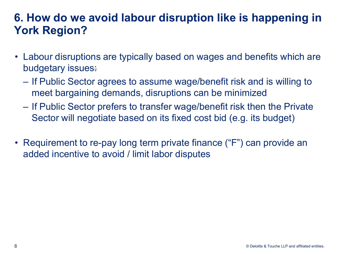## **6. How do we avoid labour disruption like is happening in York Region?**

- Labour disruptions are typically based on wages and benefits which are budgetary issues:
	- If Public Sector agrees to assume wage/benefit risk and is willing to meet bargaining demands, disruptions can be minimized
	- If Public Sector prefers to transfer wage/benefit risk then the Private Sector will negotiate based on its fixed cost bid (e.g. its budget)
- Requirement to re-pay long term private finance ("F") can provide an added incentive to avoid / limit labor disputes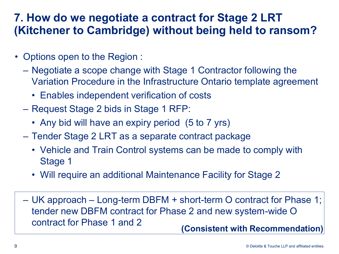## **7. How do we negotiate a contract for Stage 2 LRT (Kitchener to Cambridge) without being held to ransom?**

- Options open to the Region :
	- Negotiate a scope change with Stage 1 Contractor following the Variation Procedure in the Infrastructure Ontario template agreement
		- Enables independent verification of costs
	- Request Stage 2 bids in Stage 1 RFP:
		- Any bid will have an expiry period (5 to 7 yrs)
	- Tender Stage 2 LRT as a separate contract package
		- Vehicle and Train Control systems can be made to comply with Stage 1
		- Will require an additional Maintenance Facility for Stage 2
	- UK approach Long-term DBFM + short-term O contract for Phase 1; tender new DBFM contract for Phase 2 and new system-wide O contract for Phase 1 and 2 **(Consistent with Recommendation)**

© Deloitte & Touche LLP and affiliated entities.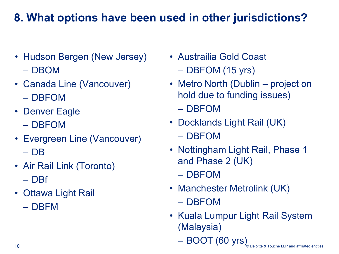# **8. What options have been used in other jurisdictions?**

- Hudson Bergen (New Jersey) – DBOM
- Canada Line (Vancouver)
	- DBFOM
- Denver Eagle
	- DBFOM
- Evergreen Line (Vancouver)
	- DB
- Air Rail Link (Toronto) – DBf
- Ottawa Light Rail
	- DBFM
- Austrailia Gold Coast – DBFOM (15 yrs)
- Metro North (Dublin project on hold due to funding issues) – DBFOM
- Docklands Light Rail (UK) – DBFOM
- Nottingham Light Rail, Phase 1 and Phase 2 (UK) – DBFOM
- Manchester Metrolink (UK) – DBFOM
- Kuala Lumpur Light Rail System (Malaysia)
	- BOOT (60 yrs)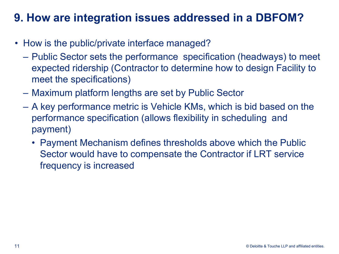## **9. How are integration issues addressed in a DBFOM?**

- How is the public/private interface managed?
	- Public Sector sets the performance specification (headways) to meet expected ridership (Contractor to determine how to design Facility to meet the specifications)
	- Maximum platform lengths are set by Public Sector
	- A key performance metric is Vehicle KMs, which is bid based on the performance specification (allows flexibility in scheduling and payment)
		- Payment Mechanism defines thresholds above which the Public Sector would have to compensate the Contractor if LRT service frequency is increased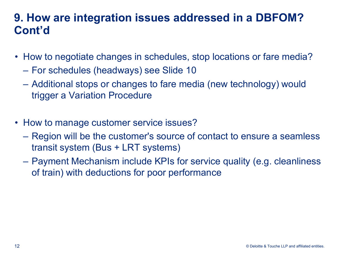#### **9. How are integration issues addressed in a DBFOM? Cont'd**

- How to negotiate changes in schedules, stop locations or fare media?
	- For schedules (headways) see Slide 10
	- Additional stops or changes to fare media (new technology) would trigger a Variation Procedure
- How to manage customer service issues?
	- Region will be the customer's source of contact to ensure a seamless transit system (Bus + LRT systems)
	- Payment Mechanism include KPIs for service quality (e.g. cleanliness of train) with deductions for poor performance